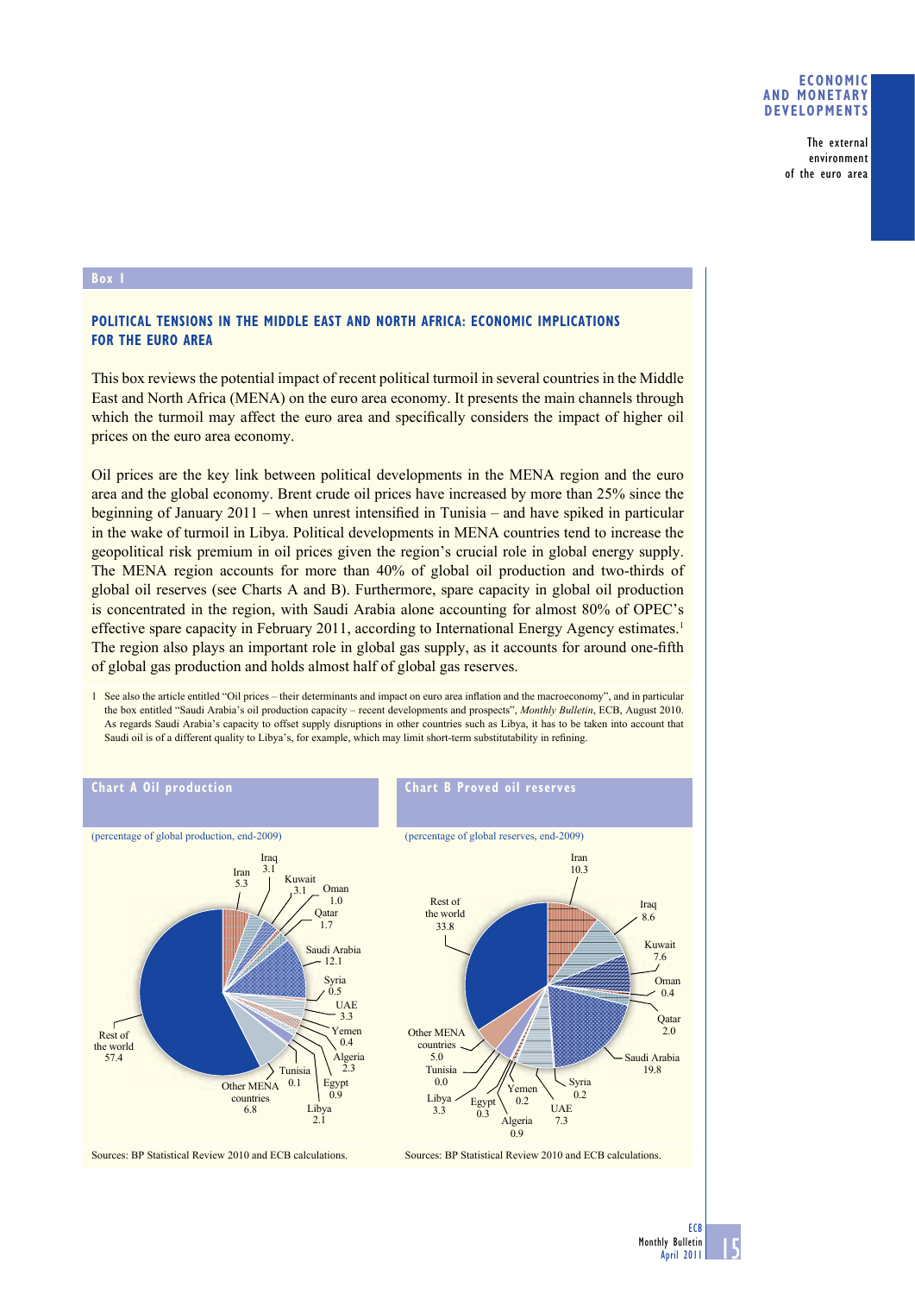## **ECONOMIC AND MONETARY DEVELOPMENTS**

The external environment of the euro area

## **Box 1**

## **POLITICAL TENSIONS IN THE MIDDLE EAST AND NORTH AFRICA: ECONOMIC IMPLICATIONS FOR THE EURO AREA**

This box reviews the potential impact of recent political turmoil in several countries in the Middle East and North Africa (MENA) on the euro area economy. It presents the main channels through which the turmoil may affect the euro area and specifically considers the impact of higher oil prices on the euro area economy.

Oil prices are the key link between political developments in the MENA region and the euro area and the global economy. Brent crude oil prices have increased by more than 25% since the beginning of January  $2011$  – when unrest intensified in Tunisia – and have spiked in particular in the wake of turmoil in Libya. Political developments in MENA countries tend to increase the geopolitical risk premium in oil prices given the region's crucial role in global energy supply. The MENA region accounts for more than 40% of global oil production and two-thirds of global oil reserves (see Charts A and B). Furthermore, spare capacity in global oil production is concentrated in the region, with Saudi Arabia alone accounting for almost 80% of OPEC's effective spare capacity in February 2011, according to International Energy Agency estimates.<sup>1</sup> The region also plays an important role in global gas supply, as it accounts for around one-fifth of global gas production and holds almost half of global gas reserves.

1 See also the article entitled "Oil prices – their determinants and impact on euro area inflation and the macroeconomy", and in particular the box entitled "Saudi Arabia's oil production capacity – recent developments and prospects", *Monthly Bulletin*, ECB, August 2010. As regards Saudi Arabia's capacity to offset supply disruptions in other countries such as Libya, it has to be taken into account that Saudi oil is of a different quality to Libya's, for example, which may limit short-term substitutability in refining.



15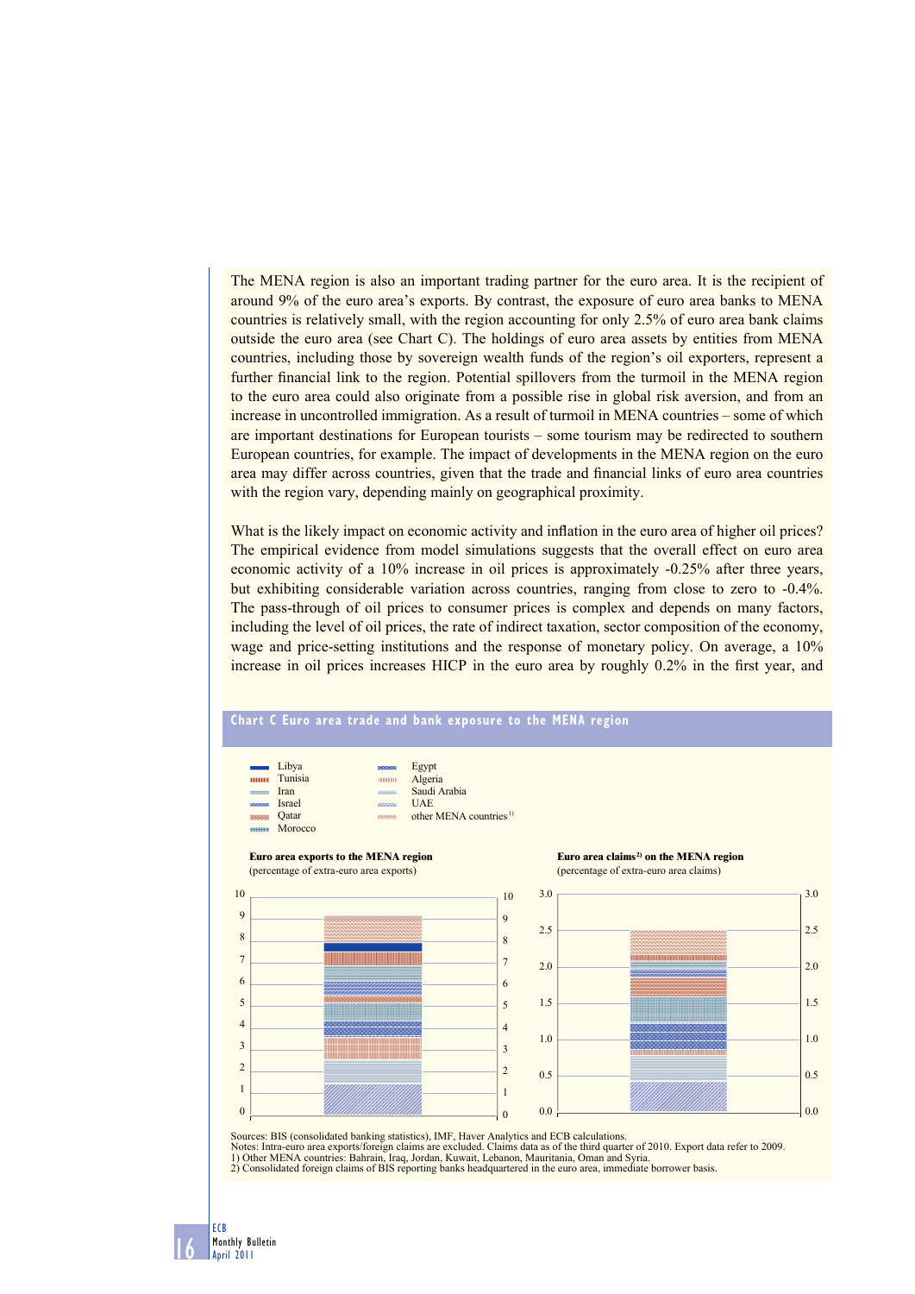The MENA region is also an important trading partner for the euro area. It is the recipient of around 9% of the euro area's exports. By contrast, the exposure of euro area banks to MENA countries is relatively small, with the region accounting for only 2.5% of euro area bank claims outside the euro area (see Chart C). The holdings of euro area assets by entities from MENA countries, including those by sovereign wealth funds of the region's oil exporters, represent a further financial link to the region. Potential spillovers from the turmoil in the MENA region to the euro area could also originate from a possible rise in global risk aversion, and from an increase in uncontrolled immigration. As a result of turmoil in MENA countries – some of which are important destinations for European tourists – some tourism may be redirected to southern European countries, for example. The impact of developments in the MENA region on the euro area may differ across countries, given that the trade and financial links of euro area countries with the region vary, depending mainly on geographical proximity.

What is the likely impact on economic activity and inflation in the euro area of higher oil prices? The empirical evidence from model simulations suggests that the overall effect on euro area economic activity of a 10% increase in oil prices is approximately -0.25% after three years, but exhibiting considerable variation across countries, ranging from close to zero to -0.4%. The pass-through of oil prices to consumer prices is complex and depends on many factors, including the level of oil prices, the rate of indirect taxation, sector composition of the economy, wage and price-setting institutions and the response of monetary policy. On average, a 10% increase in oil prices increases HICP in the euro area by roughly 0.2% in the first year, and



16 ECB Monthly Bulletin April 2011